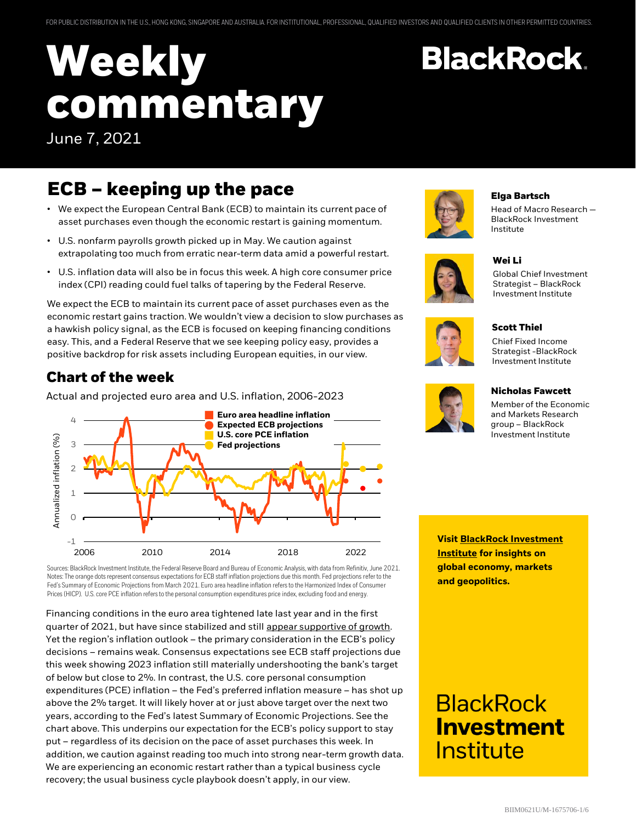# **Weekly commentary** June 7, 2021

## **ECB – keeping up the pace**

- We expect the European Central Bank (ECB) to maintain its current pace of asset purchases even though the economic restart is gaining momentum.
- U.S. nonfarm payrolls growth picked up in May. We caution against extrapolating too much from erratic near-term data amid a powerful restart.
- U.S. inflation data will also be in focus this week. A high core consumer price index (CPI) reading could fuel talks of tapering by the Federal Reserve.

We expect the ECB to maintain its current pace of asset purchases even as the economic restart gains traction. We wouldn't view a decision to slow purchases as a hawkish policy signal, as the ECB is focused on keeping financing conditions easy. This, and a Federal Reserve that we see keeping policy easy, provides a positive backdrop for risk assets including European equities, in our view.

#### **Chart of the week**

5 Actual and projected euro area and U.S. inflation, 2006-2023



Sources: BlackRock Investment Institute, the Federal Reserve Board and Bureau of Economic Analysis, with data from Refinitiv, June 2021. Notes: The orange dots represent consensus expectations for ECB staff inflation projections due this month. Fed projections refer to the Fed's Summary of Economic Projections from March 2021. Euro area headline inflation refers to the Harmonized Index of Consumer Prices (HICP). U.S. core PCE inflation refers to the personal consumption expenditures price index, excluding food and energy.

Financing conditions in the euro area tightened late last year and in the first quarter of 2021, but have since stabilized and still [appear supportive of growth.](https://www.blackrock.com/corporate/insights/blackrock-investment-institute/interactive-charts/macro-dashboard#financial-conditions) Yet the region's inflation outlook – the primary consideration in the ECB's policy decisions – remains weak. Consensus expectations see ECB staff projections due this week showing 2023 inflation still materially undershooting the bank's target of below but close to 2%. In contrast, the U.S. core personal consumption expenditures (PCE) inflation – the Fed's preferred inflation measure – has shot up above the 2% target. It will likely hover at or just above target over the next two years, according to the Fed's latest Summary of Economic Projections. See the chart above. This underpins our expectation for the ECB's policy support to stay put – regardless of its decision on the pace of asset purchases this week. In addition, we caution against reading too much into strong near-term growth data. We are experiencing an economic restart rather than a typical business cycle recovery; the usual business cycle playbook doesn't apply, in our view.



#### **Elga Bartsch**

**BlackRock.** 

**Wei Li**

Head of Macro Research — BlackRock Investment Institute

Global Chief Investment Strategist – BlackRock



### Investment Institute







**Nicholas Fawcett**

Member of the Economic and Markets Research group – BlackRock Investment Institute

**[Visit BlackRock Investment](https://www.blackrock.com/corporate/insights/blackrock-investment-institute) Institute for insights on global economy, markets and geopolitics.**

## **BlackRock Investment** <u>Institute</u>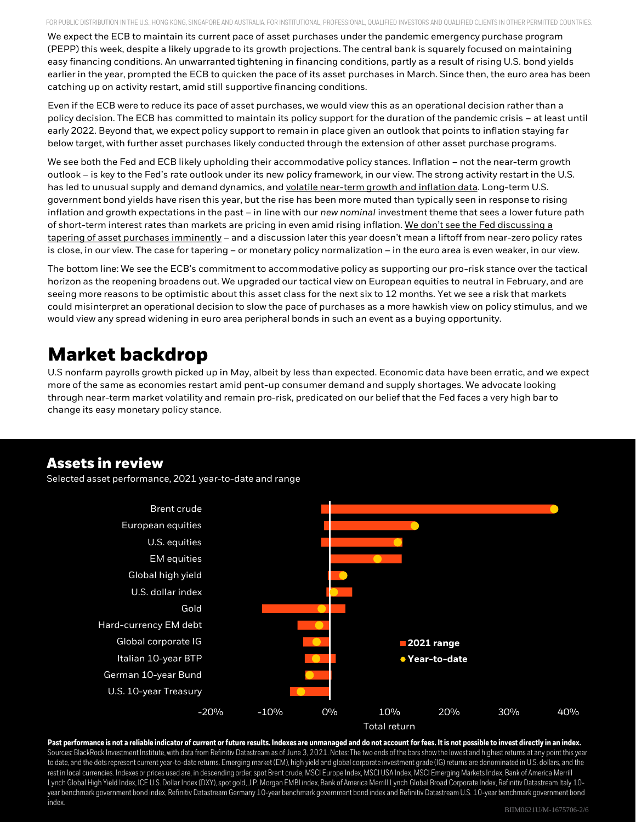FOR PUBLIC DISTRIBUTION IN THE U.S., HONG KONG, SINGAPORE AND AUSTRALIA. FOR INSTITUTIONAL, PROFESSIONAL, QUALIFIED INVESTORS AND QUALIFIED CLIENTS IN OTHER PERMITTED COUNTRIES.

We expect the ECB to maintain its current pace of asset purchases under the pandemic emergency purchase program (PEPP) this week, despite a likely upgrade to its growth projections. The central bank is squarely focused on maintaining easy financing conditions. An unwarranted tightening in financing conditions, partly as a result of rising U.S. bond yields earlier in the year, prompted the ECB to quicken the pace of its asset purchases in March. Since then, the euro area has been catching up on activity restart, amid still supportive financing conditions.

Even if the ECB were to reduce its pace of asset purchases, we would view this as an operational decision rather than a policy decision. The ECB has committed to maintain its policy support for the duration of the pandemic crisis – at least until early 2022. Beyond that, we expect policy support to remain in place given an outlook that points to inflation staying far below target, with further asset purchases likely conducted through the extension of other asset purchase programs.

We see both the Fed and ECB likely upholding their accommodative policy stances. Inflation – not the near-term growth outlook – is key to the Fed's rate outlook under its new policy framework, in our view. The strong activity restart in the U.S. has led to unusual supply and demand dynamics, and [volatile near-term growth and inflation data.](https://www.blackrock.com/corporate/literature/market-commentary/weekly-investment-commentary-en-us-20210517-dont-be-surprised-by-surprising-data.pdf) Long-term U.S. government bond yields have risen this year, but the rise has been more muted than typically seen in response to rising inflation and growth expectations in the past – in line with our *new nominal* investment theme that sees a lower future path [of short-term interest rates than markets are pricing in even amid rising inflation.](https://www.blackrock.com/corporate/literature/market-commentary/weekly-investment-commentary-en-us-20210510-mind-the-rate-expectation-gap.pdf) We don't see the Fed discussing a tapering of asset purchases imminently – and a discussion later this year doesn't mean a liftoff from near-zero policy rates is close, in our view. The case for tapering – or monetary policy normalization – in the euro area is even weaker, in our view.

The bottom line: We see the ECB's commitment to accommodative policy as supporting our pro-risk stance over the tactical horizon as the reopening broadens out. We upgraded our tactical view on European equities to neutral in February, and are seeing more reasons to be optimistic about this asset class for the next six to 12 months. Yet we see a risk that markets could misinterpret an operational decision to slow the pace of purchases as a more hawkish view on policy stimulus, and we would view any spread widening in euro area peripheral bonds in such an event as a buying opportunity.

## **Market backdrop**

U.S nonfarm payrolls growth picked up in May, albeit by less than expected. Economic data have been erratic, and we expect more of the same as economies restart amid pent-up consumer demand and supply shortages. We advocate looking through near-term market volatility and remain pro-risk, predicated on our belief that the Fed faces a very high bar to change its easy monetary policy stance.

#### **Assets in review**

Selected asset performance, 2021 year-to-date and range



**Past performance is not a reliable indicator of current or future results. Indexes are unmanaged and do not account for fees. It is not possible to invest directly in an index.** Sources: BlackRock Investment Institute, with data from Refinitiv Datastream as of June 3, 2021. Notes: The two ends of the bars show the lowest and highest returns at any point this year to date, and the dots represent current year-to-date returns. Emerging market (EM), high yield and global corporate investment grade (IG) returns are denominated in U.S. dollars, and the rest in local currencies. Indexes or prices used are, in descending order: spot Brent crude, MSCI Europe Index, MSCI USA Index, MSCI Emerging Markets Index, Bank of America Merrill Lynch Global High Yield Index, ICE U.S. Dollar Index (DXY), spot gold, J.P. Morgan EMBI index, Bank of America Merrill Lynch Global Broad Corporate Index, Refinitiv Datastream Italy 10year benchmark government bond index, Refinitiv Datastream Germany 10-year benchmark government bond index and Refinitiv Datastream U.S. 10-year benchmark government bond index.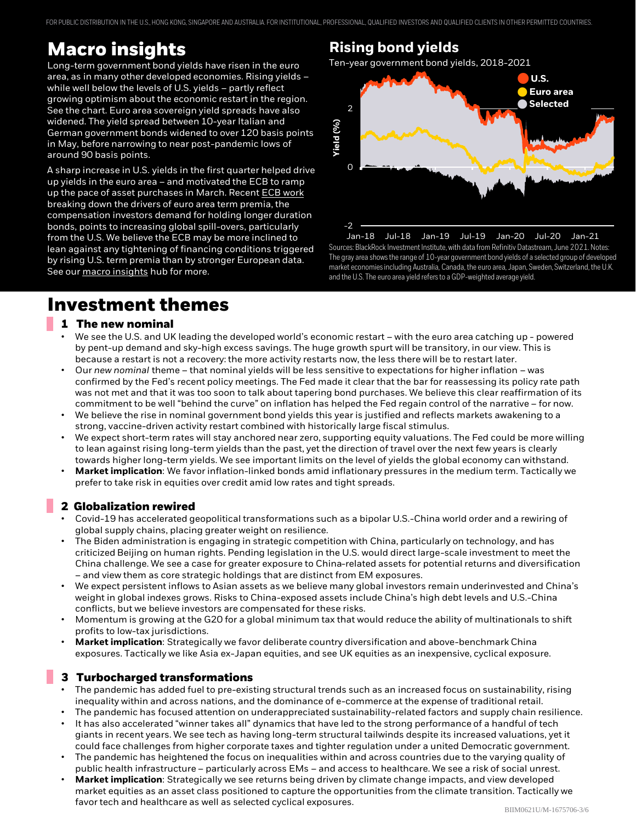FOR PUBLIC DISTRIBUTION IN THE U.S., HONG KONG, SINGAPORE AND AUSTRALIA. FOR INSTITUTIONAL, PROFESSIONAL, QUALIFIED INVESTORS AND QUALIFIED CLIENTS IN OTHER PERMITTED COUNTRIES.

## **Macro insights**

Long-term government bond yields have risen in the euro area, as in many other developed economies. Rising yields – while well below the levels of U.S. yields – partly reflect growing optimism about the economic restart in the region. See the chart. Euro area sovereign yield spreads have also widened. The yield spread between 10-year Italian and German government bonds widened to over 120 basis points in May, before narrowing to near post-pandemic lows of around 90 basis points.

A sharp increase in U.S. yields in the first quarter helped drive up yields in the euro area – and motivated the ECB to ramp up the pace of asset purchases in March. Recent ECB work breaking down the drivers of euro area term premia, the compensation investors demand for holding longer duration bonds, points to increasing global spill-overs, particularly from the U.S. We believe the ECB may be more inclined to lean against any tightening of financing conditions triggered by rising U.S. term premia than by stronger European data. See our [macro insights](https://www.blackrock.com/corporate/insights/blackrock-investment-institute/macro-insights) hub for more.

### 4 **Rising bond yields**

Ten-year government bond yields, 2018-2021



Sources: BlackRock Investment Institute, with data from Refinitiv Datastream, June 2021. Notes: The gray area shows the range of 10-year government bond yields of a selected group of developed market economies including Australia, Canada, the euro area, Japan, Sweden, Switzerland, the U.K. and the U.S. The euro area yield refers to a GDP-weighted average yield. Jan-18 Jul-18 Jan-19 Jul-19 Jan-20 Jul-20 Jan-21

### **Investment themes**

#### **1 The new nominal**

- We see the U.S. and UK leading the developed world's economic restart with the euro area catching up powered by pent-up demand and sky-high excess savings. The huge growth spurt will be transitory, in our view. This is because a restart is not a recovery: the more activity restarts now, the less there will be to restart later.
- Our *new nominal* theme that nominal yields will be less sensitive to expectations for higher inflation was confirmed by the Fed's recent policy meetings. The Fed made it clear that the bar for reassessing its policy rate path was not met and that it was too soon to talk about tapering bond purchases. We believe this clear reaffirmation of its commitment to be well "behind the curve" on inflation has helped the Fed regain control of the narrative – for now.
- We believe the rise in nominal government bond yields this year is justified and reflects markets awakening to a strong, vaccine-driven activity restart combined with historically large fiscal stimulus.
- We expect short-term rates will stay anchored near zero, supporting equity valuations. The Fed could be more willing to lean against rising long-term yields than the past, yet the direction of travel over the next few years is clearly towards higher long-term yields. We see important limits on the level of yields the global economy can withstand.
- **Market implication**: We favor inflation-linked bonds amid inflationary pressures in the medium term. Tactically we prefer to take risk in equities over credit amid low rates and tight spreads.

#### **2 Globalization rewired**

- Covid-19 has accelerated geopolitical transformations such as a bipolar U.S.-China world order and a rewiring of global supply chains, placing greater weight on resilience.
- The Biden administration is engaging in strategic competition with China, particularly on technology, and has criticized Beijing on human rights. Pending legislation in the U.S. would direct large-scale investment to meet the China challenge. We see a case for greater exposure to China-related assets for potential returns and diversification – and view them as core strategic holdings that are distinct from EM exposures.
- We expect persistent inflows to Asian assets as we believe many global investors remain underinvested and China's weight in global indexes grows. Risks to China-exposed assets include China's high debt levels and U.S.-China conflicts, but we believe investors are compensated for these risks.
- Momentum is growing at the G20 for a global minimum tax that would reduce the ability of multinationals to shift profits to low-tax jurisdictions.
- **Market implication**: Strategically we favor deliberate country diversification and above-benchmark China exposures. Tactically we like Asia ex-Japan equities, and see UK equities as an inexpensive, cyclical exposure.

#### **3 Turbocharged transformations**

- The pandemic has added fuel to pre-existing structural trends such as an increased focus on sustainability, rising inequality within and across nations, and the dominance of e-commerce at the expense of traditional retail.
- The pandemic has focused attention on underappreciated sustainability-related factors and supply chain resilience.
- It has also accelerated "winner takes all" dynamics that have led to the strong performance of a handful of tech giants in recent years. We see tech as having long-term structural tailwinds despite its increased valuations, yet it could face challenges from higher corporate taxes and tighter regulation under a united Democratic government.
- The pandemic has heightened the focus on inequalities within and across countries due to the varying quality of public health infrastructure – particularly across EMs – and access to healthcare. We see a risk of social unrest.
- **Market implication**: Strategically we see returns being driven by climate change impacts, and view developed market equities as an asset class positioned to capture the opportunities from the climate transition. Tactically we favor tech and healthcare as well as selected cyclical exposures.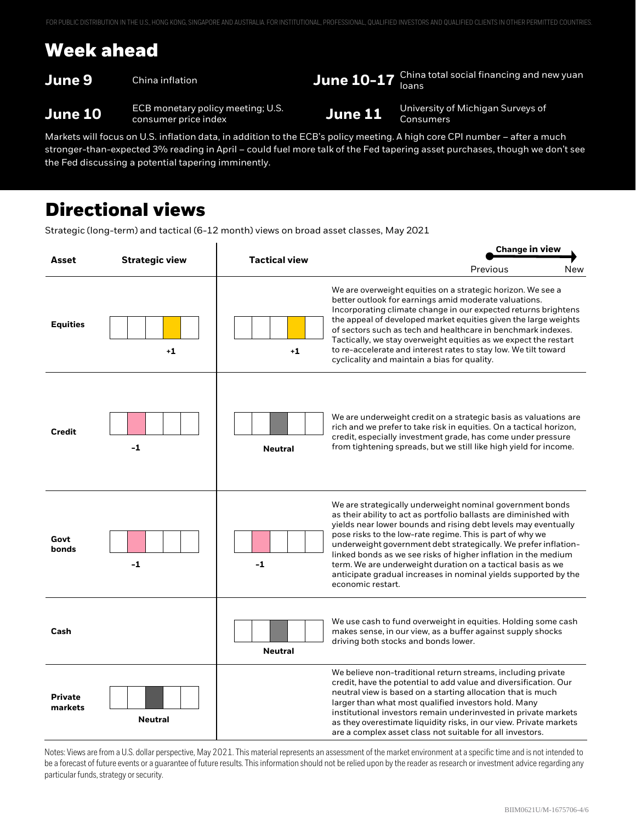## **Week ahead**

**June 9** China inflation **June 10-17** China total social financing and new yuan

**June 10** ECB monetary policy meeting; U.S. **June 11** University of Michigan Surveys of **June 11** Consumers

Markets will focus on U.S. inflation data, in addition to the ECB's policy meeting. A high core CPI number – after a much stronger-than-expected 3% reading in April – could fuel more talk of the Fed tapering asset purchases, though we don't see the Fed discussing a potential tapering imminently.

### **Directional views**

Strategic (long-term) and tactical (6-12 month) views on broad asset classes, May 2021

|                           | <b>Strategic view</b> | <b>Tactical view</b> | <b>Change in view</b>                                                                                                                                                                                                                                                                                                                                                                                                                                                                                                                                     |  |
|---------------------------|-----------------------|----------------------|-----------------------------------------------------------------------------------------------------------------------------------------------------------------------------------------------------------------------------------------------------------------------------------------------------------------------------------------------------------------------------------------------------------------------------------------------------------------------------------------------------------------------------------------------------------|--|
| Asset                     |                       |                      | Previous<br>New                                                                                                                                                                                                                                                                                                                                                                                                                                                                                                                                           |  |
| <b>Equities</b>           | $+1$                  | $+1$                 | We are overweight equities on a strategic horizon. We see a<br>better outlook for earnings amid moderate valuations.<br>Incorporating climate change in our expected returns brightens<br>the appeal of developed market equities given the large weights<br>of sectors such as tech and healthcare in benchmark indexes.<br>Tactically, we stay overweight equities as we expect the restart<br>to re-accelerate and interest rates to stay low. We tilt toward<br>cyclicality and maintain a bias for quality.                                          |  |
| <b>Credit</b>             | $-1$                  | <b>Neutral</b>       | We are underweight credit on a strategic basis as valuations are<br>rich and we prefer to take risk in equities. On a tactical horizon,<br>credit, especially investment grade, has come under pressure<br>from tightening spreads, but we still like high yield for income.                                                                                                                                                                                                                                                                              |  |
| Govt<br>bonds             | $-1$                  | $-1$                 | We are strategically underweight nominal government bonds<br>as their ability to act as portfolio ballasts are diminished with<br>yields near lower bounds and rising debt levels may eventually<br>pose risks to the low-rate regime. This is part of why we<br>underweight government debt strategically. We prefer inflation-<br>linked bonds as we see risks of higher inflation in the medium<br>term. We are underweight duration on a tactical basis as we<br>anticipate gradual increases in nominal yields supported by the<br>economic restart. |  |
| Cash                      |                       | <b>Neutral</b>       | We use cash to fund overweight in equities. Holding some cash<br>makes sense, in our view, as a buffer against supply shocks<br>driving both stocks and bonds lower.                                                                                                                                                                                                                                                                                                                                                                                      |  |
| <b>Private</b><br>markets | <b>Neutral</b>        |                      | We believe non-traditional return streams, including private<br>credit, have the potential to add value and diversification. Our<br>neutral view is based on a starting allocation that is much<br>larger than what most qualified investors hold. Many<br>institutional investors remain underinvested in private markets<br>as they overestimate liquidity risks, in our view. Private markets<br>are a complex asset class not suitable for all investors.                                                                                             |  |

▲ Overweight **—** Neutral ▼ Underweight Notes: Views are from a U.S. dollar perspective, May 2021. This material represents an assessment of the market environment at a specific time and is not intended to be a forecast of future events or a guarantee of future results. This information should not be relied upon by the reader as research or investment advice regarding any particular funds, strategy or security.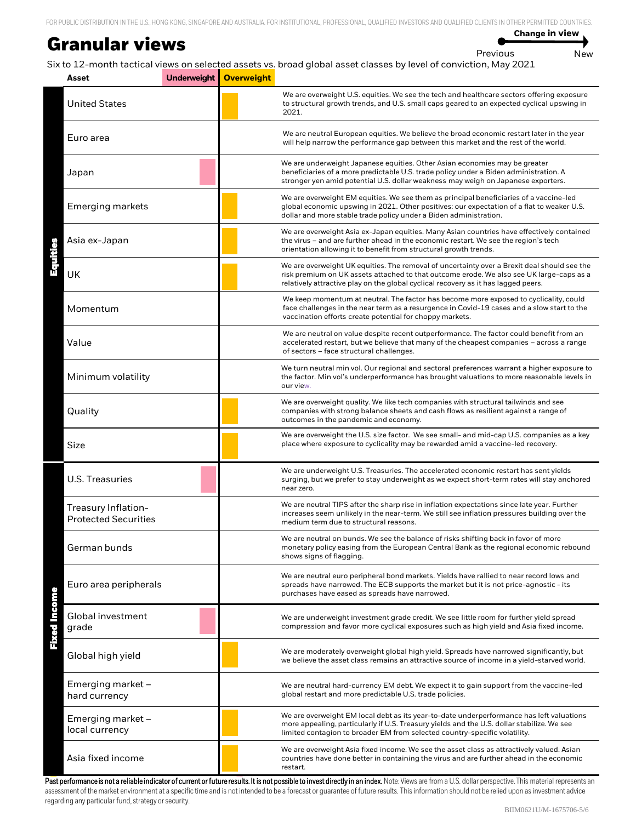#### **Granular views**

**Change in view**

```
Previous New
```
Six to 12-month tactical views on selected assets vs. broad global asset classes by level of conviction, May 2021

| Asset                                              | Underweight | <b>Overweight</b> |                                                                                                                                                                                                                                                                               |
|----------------------------------------------------|-------------|-------------------|-------------------------------------------------------------------------------------------------------------------------------------------------------------------------------------------------------------------------------------------------------------------------------|
| <b>United States</b>                               |             |                   | We are overweight U.S. equities. We see the tech and healthcare sectors offering exposure<br>to structural growth trends, and U.S. small caps geared to an expected cyclical upswing in<br>2021.                                                                              |
| Euro area                                          |             |                   | We are neutral European equities. We believe the broad economic restart later in the year<br>will help narrow the performance gap between this market and the rest of the world.                                                                                              |
| Japan                                              |             |                   | We are underweight Japanese equities. Other Asian economies may be greater<br>beneficiaries of a more predictable U.S. trade policy under a Biden administration. A<br>stronger yen amid potential U.S. dollar weakness may weigh on Japanese exporters.                      |
| <b>Emerging markets</b>                            |             |                   | We are overweight EM equities. We see them as principal beneficiaries of a vaccine-led<br>global economic upswing in 2021. Other positives: our expectation of a flat to weaker U.S.<br>dollar and more stable trade policy under a Biden administration.                     |
| Asia ex-Japan                                      |             |                   | We are overweight Asia ex-Japan equities. Many Asian countries have effectively contained<br>the virus - and are further ahead in the economic restart. We see the region's tech<br>orientation allowing it to benefit from structural growth trends.                         |
| UK                                                 |             |                   | We are overweight UK equities. The removal of uncertainty over a Brexit deal should see the<br>risk premium on UK assets attached to that outcome erode. We also see UK large-caps as a<br>relatively attractive play on the global cyclical recovery as it has lagged peers. |
| Momentum                                           |             |                   | We keep momentum at neutral. The factor has become more exposed to cyclicality, could<br>face challenges in the near term as a resurgence in Covid-19 cases and a slow start to the<br>vaccination efforts create potential for choppy markets.                               |
| Value                                              |             |                   | We are neutral on value despite recent outperformance. The factor could benefit from an<br>accelerated restart, but we believe that many of the cheapest companies - across a range<br>of sectors - face structural challenges.                                               |
| Minimum volatility                                 |             |                   | We turn neutral min vol. Our regional and sectoral preferences warrant a higher exposure to<br>the factor. Min vol's underperformance has brought valuations to more reasonable levels in<br>our view.                                                                        |
| Quality                                            |             |                   | We are overweight quality. We like tech companies with structural tailwinds and see<br>companies with strong balance sheets and cash flows as resilient against a range of<br>outcomes in the pandemic and economy.                                                           |
| Size                                               |             |                   | We are overweight the U.S. size factor. We see small- and mid-cap U.S. companies as a key<br>place where exposure to cyclicality may be rewarded amid a vaccine-led recovery.                                                                                                 |
| U.S. Treasuries                                    |             |                   | We are underweight U.S. Treasuries. The accelerated economic restart has sent yields<br>surging, but we prefer to stay underweight as we expect short-term rates will stay anchored<br>near zero.                                                                             |
| Treasury Inflation-<br><b>Protected Securities</b> |             |                   | We are neutral TIPS after the sharp rise in inflation expectations since late year. Further<br>increases seem unlikely in the near-term. We still see inflation pressures building over the<br>medium term due to structural reasons.                                         |
| German bunds                                       |             |                   | We are neutral on bunds. We see the balance of risks shifting back in favor of more<br>monetary policy easing from the European Central Bank as the regional economic rebound<br>shows signs of flagging.                                                                     |
| Euro area peripherals                              |             |                   | We are neutral euro peripheral bond markets. Yields have rallied to near record lows and<br>spreads have narrowed. The ECB supports the market but it is not price-agnostic - its<br>purchases have eased as spreads have narrowed.                                           |
| <b>Fixed Income</b><br>Global investment<br>grade  |             |                   | We are underweight investment grade credit. We see little room for further yield spread<br>compression and favor more cyclical exposures such as high yield and Asia fixed income.                                                                                            |
| Global high yield                                  |             |                   | We are moderately overweight global high yield. Spreads have narrowed significantly, but<br>we believe the asset class remains an attractive source of income in a yield-starved world.                                                                                       |
| Emerging market -<br>hard currency                 |             |                   | We are neutral hard-currency EM debt. We expect it to gain support from the vaccine-led<br>global restart and more predictable U.S. trade policies.                                                                                                                           |
| Emerging market -<br>local currency                |             |                   | We are overweight EM local debt as its year-to-date underperformance has left valuations<br>more appealing, particularly if U.S. Treasury yields and the U.S. dollar stabilize. We see<br>limited contagion to broader EM from selected country-specific volatility.          |
| Asia fixed income                                  |             |                   | We are overweight Asia fixed income. We see the asset class as attractively valued. Asian<br>countries have done better in containing the virus and are further ahead in the economic<br>restart.                                                                             |

Past performance is not a reliable indicator of current or future results. It is not possible to invest directly in an index. Note: Views are from a U.S. dollar perspective. This material represents an assessment of the market environment at a specific time and is not intended to be a forecast or guarantee of future results. This information should not be relied upon as investment advice regarding any particular fund, strategy or security.